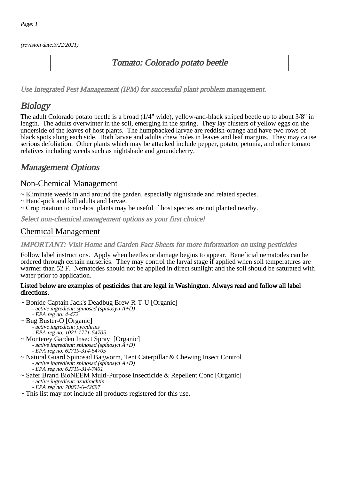(revision date:3/22/2021)

## Tomato: Colorado potato beetle

[Use Integrated Pest Management \(IPM\) for successful plant problem management.](http://pep.wsu.edu/Home_Garden/H_G_Pesticide_info/urban_Integrated_Pest_Managmen/)

# **Biology**

The adult Colorado potato beetle is a broad (1/4" wide), yellow-and-black striped beetle up to about 3/8" in length. The adults overwinter in the soil, emerging in the spring. They lay clusters of yellow eggs on the underside of the leaves of host plants. The humpbacked larvae are reddish-orange and have two rows of black spots along each side. Both larvae and adults chew holes in leaves and leaf margins. They may cause serious defoliation. Other plants which may be attacked include pepper, potato, petunia, and other tomato relatives including weeds such as nightshade and groundcherry.

## Management Options

#### Non-Chemical Management

- ~ Eliminate weeds in and around the garden, especially nightshade and related species.
- ~ Hand-pick and kill adults and larvae.
- ~ Crop rotation to non-host plants may be useful if host species are not planted nearby.

Select non-chemical management options as your first choice!

### Chemical Management

#### IMPORTANT: [Visit Home and Garden Fact Sheets for more information on using pesticides](http://pep.wsu.edu/Home_Garden/H_G_Pesticide_info/)

Follow label instructions. Apply when beetles or damage begins to appear. Beneficial nematodes can be ordered through certain nurseries. They may control the larval stage if applied when soil temperatures are warmer than 52 F. Nematodes should not be applied in direct sunlight and the soil should be saturated with water prior to application.

#### Listed below are examples of pesticides that are legal in Washington. Always read and follow all label directions.

- ~ Bonide Captain Jack's Deadbug Brew R-T-U [Organic] - active ingredient: spinosad (spinosyn A+D) - EPA reg no: 4-472 ~ Bug Buster-O [Organic] - - ~ Monterey Garden Insect Spray [Organic] - active ingredient: spinosad (spinosyn A+D) - EPA reg no: 62719-314-54705 ~ Natural Guard Spinosad Bagworm, Tent Caterpillar & Chewing Insect Control - active ingredient: spinosad (spinosyn A+D) - EPA reg no: 62719-314-7401 active ingredient: pyrethrins EPA reg no: 1021-1771-54705
- ~ Safer Brand BioNEEM Multi-Purpose Insecticide & Repellent Conc [Organic] - active ingredient: azadirachtin
- EPA reg no: 70051-6-42697 ~ This list may not include all products registered for this use.